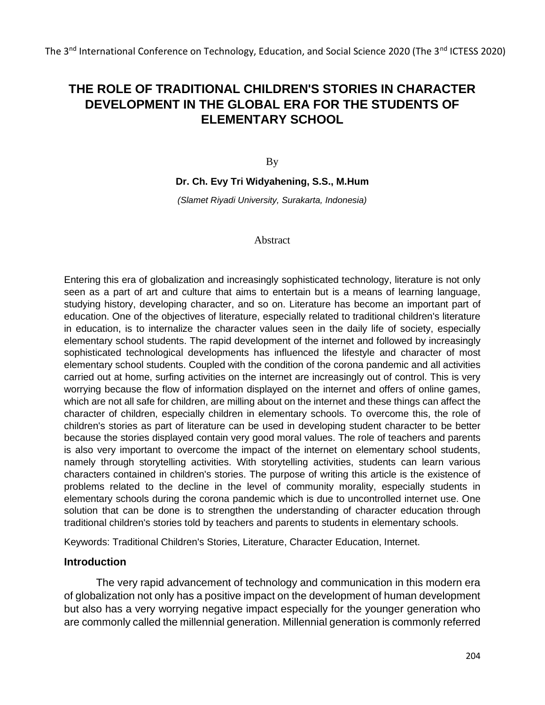# **THE ROLE OF TRADITIONAL CHILDREN'S STORIES IN CHARACTER DEVELOPMENT IN THE GLOBAL ERA FOR THE STUDENTS OF ELEMENTARY SCHOOL**

By

#### **Dr. Ch. Evy Tri Widyahening, S.S., M.Hum**

*(Slamet Riyadi University, Surakarta, Indonesia)*

#### Abstract

Entering this era of globalization and increasingly sophisticated technology, literature is not only seen as a part of art and culture that aims to entertain but is a means of learning language, studying history, developing character, and so on. Literature has become an important part of education. One of the objectives of literature, especially related to traditional children's literature in education, is to internalize the character values seen in the daily life of society, especially elementary school students. The rapid development of the internet and followed by increasingly sophisticated technological developments has influenced the lifestyle and character of most elementary school students. Coupled with the condition of the corona pandemic and all activities carried out at home, surfing activities on the internet are increasingly out of control. This is very worrying because the flow of information displayed on the internet and offers of online games, which are not all safe for children, are milling about on the internet and these things can affect the character of children, especially children in elementary schools. To overcome this, the role of children's stories as part of literature can be used in developing student character to be better because the stories displayed contain very good moral values. The role of teachers and parents is also very important to overcome the impact of the internet on elementary school students, namely through storytelling activities. With storytelling activities, students can learn various characters contained in children's stories. The purpose of writing this article is the existence of problems related to the decline in the level of community morality, especially students in elementary schools during the corona pandemic which is due to uncontrolled internet use. One solution that can be done is to strengthen the understanding of character education through traditional children's stories told by teachers and parents to students in elementary schools.

Keywords: Traditional Children's Stories, Literature, Character Education, Internet.

#### **Introduction**

The very rapid advancement of technology and communication in this modern era of globalization not only has a positive impact on the development of human development but also has a very worrying negative impact especially for the younger generation who are commonly called the millennial generation. Millennial generation is commonly referred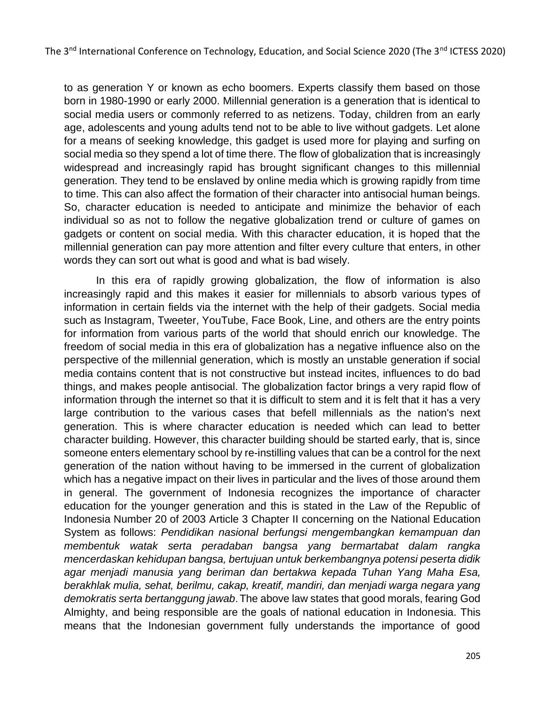to as generation Y or known as echo boomers. Experts classify them based on those born in 1980-1990 or early 2000. Millennial generation is a generation that is identical to social media users or commonly referred to as netizens. Today, children from an early age, adolescents and young adults tend not to be able to live without gadgets. Let alone for a means of seeking knowledge, this gadget is used more for playing and surfing on social media so they spend a lot of time there. The flow of globalization that is increasingly widespread and increasingly rapid has brought significant changes to this millennial generation. They tend to be enslaved by online media which is growing rapidly from time to time. This can also affect the formation of their character into antisocial human beings. So, character education is needed to anticipate and minimize the behavior of each individual so as not to follow the negative globalization trend or culture of games on gadgets or content on social media. With this character education, it is hoped that the millennial generation can pay more attention and filter every culture that enters, in other words they can sort out what is good and what is bad wisely.

In this era of rapidly growing globalization, the flow of information is also increasingly rapid and this makes it easier for millennials to absorb various types of information in certain fields via the internet with the help of their gadgets. Social media such as Instagram, Tweeter, YouTube, Face Book, Line, and others are the entry points for information from various parts of the world that should enrich our knowledge. The freedom of social media in this era of globalization has a negative influence also on the perspective of the millennial generation, which is mostly an unstable generation if social media contains content that is not constructive but instead incites, influences to do bad things, and makes people antisocial. The globalization factor brings a very rapid flow of information through the internet so that it is difficult to stem and it is felt that it has a very large contribution to the various cases that befell millennials as the nation's next generation. This is where character education is needed which can lead to better character building. However, this character building should be started early, that is, since someone enters elementary school by re-instilling values that can be a control for the next generation of the nation without having to be immersed in the current of globalization which has a negative impact on their lives in particular and the lives of those around them in general. The government of Indonesia recognizes the importance of character education for the younger generation and this is stated in the Law of the Republic of Indonesia Number 20 of 2003 Article 3 Chapter II concerning on the National Education System as follows: *Pendidikan nasional berfungsi mengembangkan kemampuan dan membentuk watak serta peradaban bangsa yang bermartabat dalam rangka mencerdaskan kehidupan bangsa, bertujuan untuk berkembangnya potensi peserta didik agar menjadi manusia yang beriman dan bertakwa kepada Tuhan Yang Maha Esa, berakhlak mulia, sehat, berilmu, cakap, kreatif, mandiri, dan menjadi warga negara yang demokratis serta bertanggung jawab*. The above law states that good morals, fearing God Almighty, and being responsible are the goals of national education in Indonesia. This means that the Indonesian government fully understands the importance of good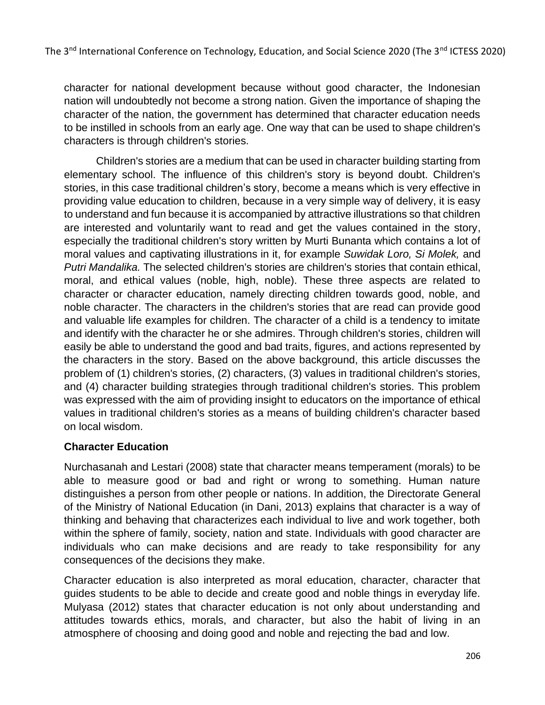character for national development because without good character, the Indonesian nation will undoubtedly not become a strong nation. Given the importance of shaping the character of the nation, the government has determined that character education needs to be instilled in schools from an early age. One way that can be used to shape children's characters is through children's stories.

Children's stories are a medium that can be used in character building starting from elementary school. The influence of this children's story is beyond doubt. Children's stories, in this case traditional children's story, become a means which is very effective in providing value education to children, because in a very simple way of delivery, it is easy to understand and fun because it is accompanied by attractive illustrations so that children are interested and voluntarily want to read and get the values contained in the story, especially the traditional children's story written by Murti Bunanta which contains a lot of moral values and captivating illustrations in it, for example *Suwidak Loro, Si Molek,* and *Putri Mandalika.* The selected children's stories are children's stories that contain ethical, moral, and ethical values (noble, high, noble). These three aspects are related to character or character education, namely directing children towards good, noble, and noble character. The characters in the children's stories that are read can provide good and valuable life examples for children. The character of a child is a tendency to imitate and identify with the character he or she admires. Through children's stories, children will easily be able to understand the good and bad traits, figures, and actions represented by the characters in the story. Based on the above background, this article discusses the problem of (1) children's stories, (2) characters, (3) values in traditional children's stories, and (4) character building strategies through traditional children's stories. This problem was expressed with the aim of providing insight to educators on the importance of ethical values in traditional children's stories as a means of building children's character based on local wisdom.

## **Character Education**

Nurchasanah and Lestari (2008) state that character means temperament (morals) to be able to measure good or bad and right or wrong to something. Human nature distinguishes a person from other people or nations. In addition, the Directorate General of the Ministry of National Education (in Dani, 2013) explains that character is a way of thinking and behaving that characterizes each individual to live and work together, both within the sphere of family, society, nation and state. Individuals with good character are individuals who can make decisions and are ready to take responsibility for any consequences of the decisions they make.

Character education is also interpreted as moral education, character, character that guides students to be able to decide and create good and noble things in everyday life. Mulyasa (2012) states that character education is not only about understanding and attitudes towards ethics, morals, and character, but also the habit of living in an atmosphere of choosing and doing good and noble and rejecting the bad and low.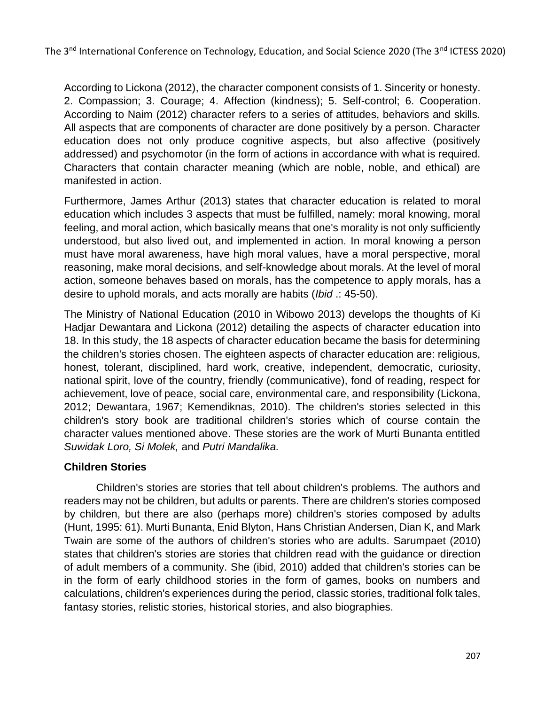According to Lickona (2012), the character component consists of 1. Sincerity or honesty. 2. Compassion; 3. Courage; 4. Affection (kindness); 5. Self-control; 6. Cooperation. According to Naim (2012) character refers to a series of attitudes, behaviors and skills. All aspects that are components of character are done positively by a person. Character education does not only produce cognitive aspects, but also affective (positively addressed) and psychomotor (in the form of actions in accordance with what is required. Characters that contain character meaning (which are noble, noble, and ethical) are manifested in action.

Furthermore, James Arthur (2013) states that character education is related to moral education which includes 3 aspects that must be fulfilled, namely: moral knowing, moral feeling, and moral action, which basically means that one's morality is not only sufficiently understood, but also lived out, and implemented in action. In moral knowing a person must have moral awareness, have high moral values, have a moral perspective, moral reasoning, make moral decisions, and self-knowledge about morals. At the level of moral action, someone behaves based on morals, has the competence to apply morals, has a desire to uphold morals, and acts morally are habits (*Ibid* .: 45-50).

The Ministry of National Education (2010 in Wibowo 2013) develops the thoughts of Ki Hadjar Dewantara and Lickona (2012) detailing the aspects of character education into 18. In this study, the 18 aspects of character education became the basis for determining the children's stories chosen. The eighteen aspects of character education are: religious, honest, tolerant, disciplined, hard work, creative, independent, democratic, curiosity, national spirit, love of the country, friendly (communicative), fond of reading, respect for achievement, love of peace, social care, environmental care, and responsibility (Lickona, 2012; Dewantara, 1967; Kemendiknas, 2010). The children's stories selected in this children's story book are traditional children's stories which of course contain the character values mentioned above. These stories are the work of Murti Bunanta entitled *Suwidak Loro, Si Molek,* and *Putri Mandalika.*

## **Children Stories**

Children's stories are stories that tell about children's problems. The authors and readers may not be children, but adults or parents. There are children's stories composed by children, but there are also (perhaps more) children's stories composed by adults (Hunt, 1995: 61). Murti Bunanta, Enid Blyton, Hans Christian Andersen, Dian K, and Mark Twain are some of the authors of children's stories who are adults. Sarumpaet (2010) states that children's stories are stories that children read with the guidance or direction of adult members of a community. She (ibid, 2010) added that children's stories can be in the form of early childhood stories in the form of games, books on numbers and calculations, children's experiences during the period, classic stories, traditional folk tales, fantasy stories, relistic stories, historical stories, and also biographies.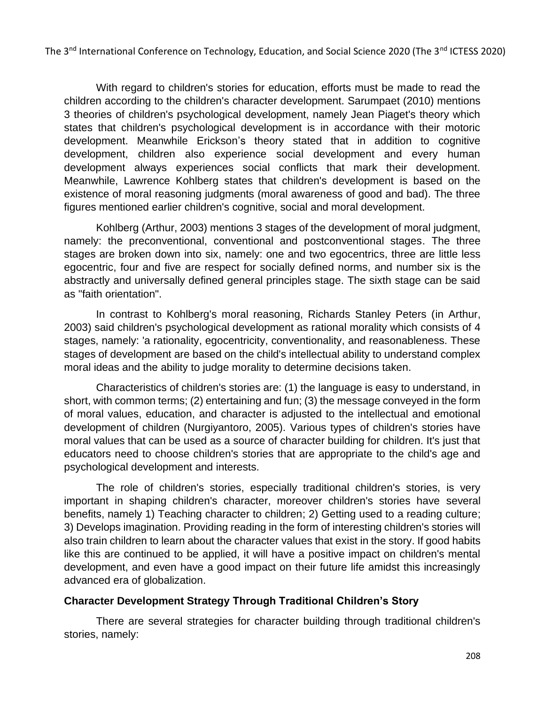With regard to children's stories for education, efforts must be made to read the children according to the children's character development. Sarumpaet (2010) mentions 3 theories of children's psychological development, namely Jean Piaget's theory which states that children's psychological development is in accordance with their motoric development. Meanwhile Erickson's theory stated that in addition to cognitive development, children also experience social development and every human development always experiences social conflicts that mark their development. Meanwhile, Lawrence Kohlberg states that children's development is based on the existence of moral reasoning judgments (moral awareness of good and bad). The three figures mentioned earlier children's cognitive, social and moral development.

Kohlberg (Arthur, 2003) mentions 3 stages of the development of moral judgment, namely: the preconventional, conventional and postconventional stages. The three stages are broken down into six, namely: one and two egocentrics, three are little less egocentric, four and five are respect for socially defined norms, and number six is the abstractly and universally defined general principles stage. The sixth stage can be said as "faith orientation".

In contrast to Kohlberg's moral reasoning, Richards Stanley Peters (in Arthur, 2003) said children's psychological development as rational morality which consists of 4 stages, namely: 'a rationality, egocentricity, conventionality, and reasonableness. These stages of development are based on the child's intellectual ability to understand complex moral ideas and the ability to judge morality to determine decisions taken.

Characteristics of children's stories are: (1) the language is easy to understand, in short, with common terms; (2) entertaining and fun; (3) the message conveyed in the form of moral values, education, and character is adjusted to the intellectual and emotional development of children (Nurgiyantoro, 2005). Various types of children's stories have moral values that can be used as a source of character building for children. It's just that educators need to choose children's stories that are appropriate to the child's age and psychological development and interests.

The role of children's stories, especially traditional children's stories, is very important in shaping children's character, moreover children's stories have several benefits, namely 1) Teaching character to children; 2) Getting used to a reading culture; 3) Develops imagination. Providing reading in the form of interesting children's stories will also train children to learn about the character values that exist in the story. If good habits like this are continued to be applied, it will have a positive impact on children's mental development, and even have a good impact on their future life amidst this increasingly advanced era of globalization.

## **Character Development Strategy Through Traditional Children's Story**

There are several strategies for character building through traditional children's stories, namely: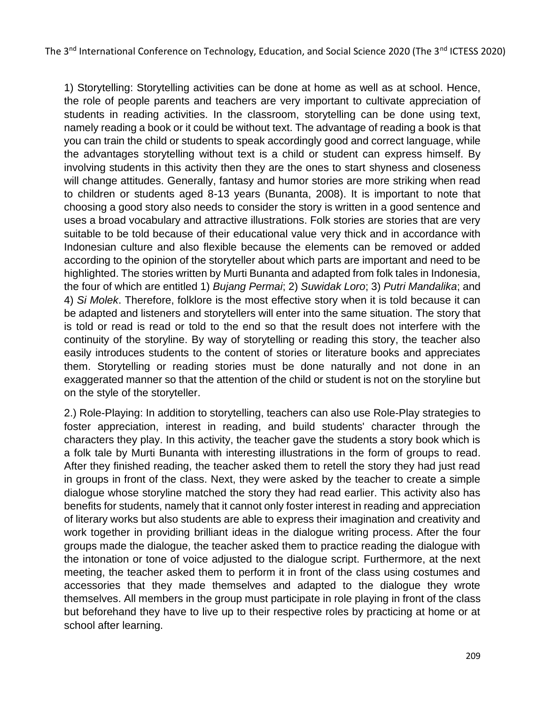1) Storytelling: Storytelling activities can be done at home as well as at school. Hence, the role of people parents and teachers are very important to cultivate appreciation of students in reading activities. In the classroom, storytelling can be done using text, namely reading a book or it could be without text. The advantage of reading a book is that you can train the child or students to speak accordingly good and correct language, while the advantages storytelling without text is a child or student can express himself. By involving students in this activity then they are the ones to start shyness and closeness will change attitudes. Generally, fantasy and humor stories are more striking when read to children or students aged 8-13 years (Bunanta, 2008). It is important to note that choosing a good story also needs to consider the story is written in a good sentence and uses a broad vocabulary and attractive illustrations. Folk stories are stories that are very suitable to be told because of their educational value very thick and in accordance with Indonesian culture and also flexible because the elements can be removed or added according to the opinion of the storyteller about which parts are important and need to be highlighted. The stories written by Murti Bunanta and adapted from folk tales in Indonesia, the four of which are entitled 1) *Bujang Permai*; 2) *Suwidak Loro*; 3) *Putri Mandalika*; and 4) *Si Molek*. Therefore, folklore is the most effective story when it is told because it can be adapted and listeners and storytellers will enter into the same situation. The story that is told or read is read or told to the end so that the result does not interfere with the continuity of the storyline. By way of storytelling or reading this story, the teacher also easily introduces students to the content of stories or literature books and appreciates them. Storytelling or reading stories must be done naturally and not done in an exaggerated manner so that the attention of the child or student is not on the storyline but on the style of the storyteller.

2.) Role-Playing: In addition to storytelling, teachers can also use Role-Play strategies to foster appreciation, interest in reading, and build students' character through the characters they play. In this activity, the teacher gave the students a story book which is a folk tale by Murti Bunanta with interesting illustrations in the form of groups to read. After they finished reading, the teacher asked them to retell the story they had just read in groups in front of the class. Next, they were asked by the teacher to create a simple dialogue whose storyline matched the story they had read earlier. This activity also has benefits for students, namely that it cannot only foster interest in reading and appreciation of literary works but also students are able to express their imagination and creativity and work together in providing brilliant ideas in the dialogue writing process. After the four groups made the dialogue, the teacher asked them to practice reading the dialogue with the intonation or tone of voice adjusted to the dialogue script. Furthermore, at the next meeting, the teacher asked them to perform it in front of the class using costumes and accessories that they made themselves and adapted to the dialogue they wrote themselves. All members in the group must participate in role playing in front of the class but beforehand they have to live up to their respective roles by practicing at home or at school after learning.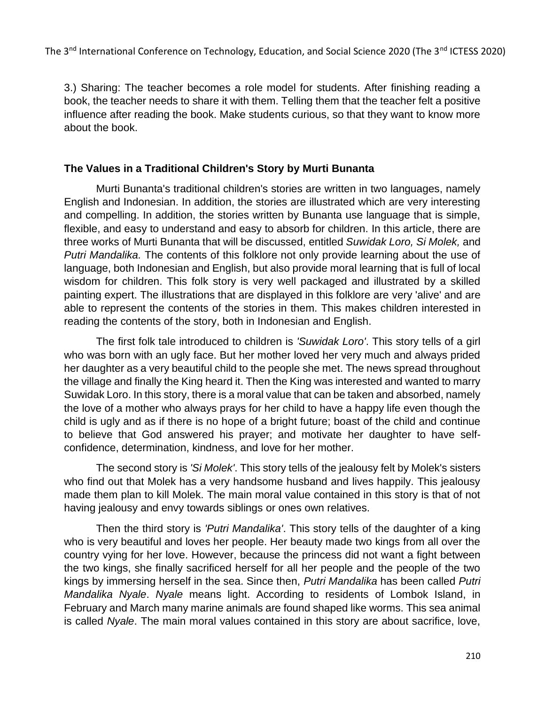3.) Sharing: The teacher becomes a role model for students. After finishing reading a book, the teacher needs to share it with them. Telling them that the teacher felt a positive influence after reading the book. Make students curious, so that they want to know more about the book.

#### **The Values in a Traditional Children's Story by Murti Bunanta**

Murti Bunanta's traditional children's stories are written in two languages, namely English and Indonesian. In addition, the stories are illustrated which are very interesting and compelling. In addition, the stories written by Bunanta use language that is simple, flexible, and easy to understand and easy to absorb for children. In this article, there are three works of Murti Bunanta that will be discussed, entitled *Suwidak Loro, Si Molek,* and *Putri Mandalika.* The contents of this folklore not only provide learning about the use of language, both Indonesian and English, but also provide moral learning that is full of local wisdom for children. This folk story is very well packaged and illustrated by a skilled painting expert. The illustrations that are displayed in this folklore are very 'alive' and are able to represent the contents of the stories in them. This makes children interested in reading the contents of the story, both in Indonesian and English.

The first folk tale introduced to children is *'Suwidak Loro'*. This story tells of a girl who was born with an ugly face. But her mother loved her very much and always prided her daughter as a very beautiful child to the people she met. The news spread throughout the village and finally the King heard it. Then the King was interested and wanted to marry Suwidak Loro. In this story, there is a moral value that can be taken and absorbed, namely the love of a mother who always prays for her child to have a happy life even though the child is ugly and as if there is no hope of a bright future; boast of the child and continue to believe that God answered his prayer; and motivate her daughter to have selfconfidence, determination, kindness, and love for her mother.

The second story is *'Si Molek'*. This story tells of the jealousy felt by Molek's sisters who find out that Molek has a very handsome husband and lives happily. This jealousy made them plan to kill Molek. The main moral value contained in this story is that of not having jealousy and envy towards siblings or ones own relatives.

Then the third story is *'Putri Mandalika'*. This story tells of the daughter of a king who is very beautiful and loves her people. Her beauty made two kings from all over the country vying for her love. However, because the princess did not want a fight between the two kings, she finally sacrificed herself for all her people and the people of the two kings by immersing herself in the sea. Since then, *Putri Mandalika* has been called *Putri Mandalika Nyale*. *Nyale* means light. According to residents of Lombok Island, in February and March many marine animals are found shaped like worms. This sea animal is called *Nyale*. The main moral values contained in this story are about sacrifice, love,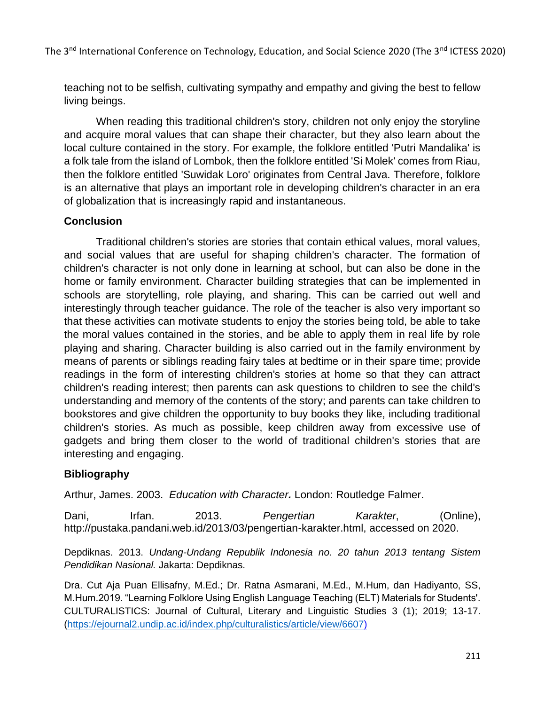teaching not to be selfish, cultivating sympathy and empathy and giving the best to fellow living beings.

When reading this traditional children's story, children not only enjoy the storyline and acquire moral values that can shape their character, but they also learn about the local culture contained in the story. For example, the folklore entitled 'Putri Mandalika' is a folk tale from the island of Lombok, then the folklore entitled 'Si Molek' comes from Riau, then the folklore entitled 'Suwidak Loro' originates from Central Java. Therefore, folklore is an alternative that plays an important role in developing children's character in an era of globalization that is increasingly rapid and instantaneous.

#### **Conclusion**

Traditional children's stories are stories that contain ethical values, moral values, and social values that are useful for shaping children's character. The formation of children's character is not only done in learning at school, but can also be done in the home or family environment. Character building strategies that can be implemented in schools are storytelling, role playing, and sharing. This can be carried out well and interestingly through teacher guidance. The role of the teacher is also very important so that these activities can motivate students to enjoy the stories being told, be able to take the moral values contained in the stories, and be able to apply them in real life by role playing and sharing. Character building is also carried out in the family environment by means of parents or siblings reading fairy tales at bedtime or in their spare time; provide readings in the form of interesting children's stories at home so that they can attract children's reading interest; then parents can ask questions to children to see the child's understanding and memory of the contents of the story; and parents can take children to bookstores and give children the opportunity to buy books they like, including traditional children's stories. As much as possible, keep children away from excessive use of gadgets and bring them closer to the world of traditional children's stories that are interesting and engaging.

## **Bibliography**

Arthur, James. 2003. *Education with Character.* London: Routledge Falmer.

Dani, Irfan. 2013. *Pengertian Karakter*, (Online), http://pustaka.pandani.web.id/2013/03/pengertian-karakter.html, accessed on 2020.

Depdiknas. 2013. *Undang-Undang Republik Indonesia no. 20 tahun 2013 tentang Sistem Pendidikan Nasional.* Jakarta: Depdiknas.

Dra. Cut Aja Puan Ellisafny, M.Ed.; Dr. Ratna Asmarani, M.Ed., M.Hum, dan Hadiyanto, SS, M.Hum.2019. "Learning Folklore Using English Language Teaching (ELT) Materials for Students'. CULTURALISTICS: Journal of Cultural, Literary and Linguistic Studies 3 (1); 2019; 13-17. [\(https://ejournal2.undip.ac.id/index.php/culturalistics/article/view/6607\)](https://ejournal2.undip.ac.id/index.php/culturalistics/article/view/6607)